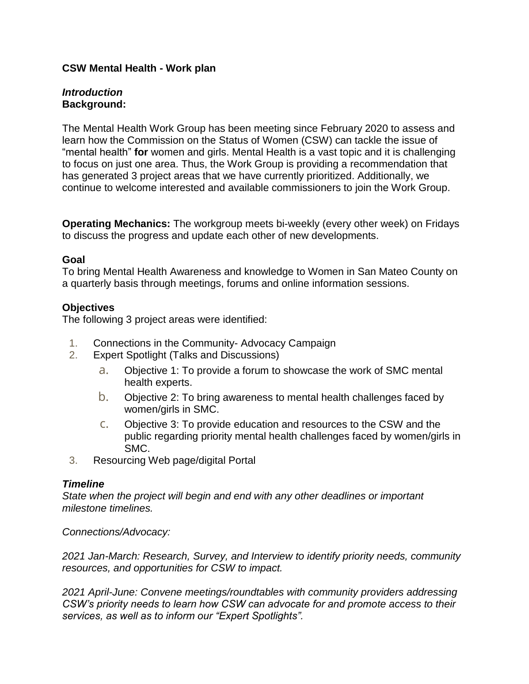## **CSW Mental Health - Work plan**

## *Introduction* **Background:**

The Mental Health Work Group has been meeting since February 2020 to assess and learn how the Commission on the Status of Women (CSW) can tackle the issue of "mental health" **for** women and girls. Mental Health is a vast topic and it is challenging to focus on just one area. Thus, the Work Group is providing a recommendation that has generated 3 project areas that we have currently prioritized. Additionally, we continue to welcome interested and available commissioners to join the Work Group.

**Operating Mechanics:** The workgroup meets bi-weekly (every other week) on Fridays to discuss the progress and update each other of new developments.

### **Goal**

To bring Mental Health Awareness and knowledge to Women in San Mateo County on a quarterly basis through meetings, forums and online information sessions.

## **Objectives**

The following 3 project areas were identified:

- 1. Connections in the Community- Advocacy Campaign
- 2. Expert Spotlight (Talks and Discussions)
	- a. Objective 1: To provide a forum to showcase the work of SMC mental health experts.
	- b. Objective 2: To bring awareness to mental health challenges faced by women/girls in SMC.
	- c. Objective 3: To provide education and resources to the CSW and the public regarding priority mental health challenges faced by women/girls in SMC.
- 3. Resourcing Web page/digital Portal

### *Timeline*

*State when the project will begin and end with any other deadlines or important milestone timelines.*

*Connections/Advocacy:*

*2021 Jan-March: Research, Survey, and Interview to identify priority needs, community resources, and opportunities for CSW to impact.* 

*2021 April-June: Convene meetings/roundtables with community providers addressing CSW's priority needs to learn how CSW can advocate for and promote access to their services, as well as to inform our "Expert Spotlights".*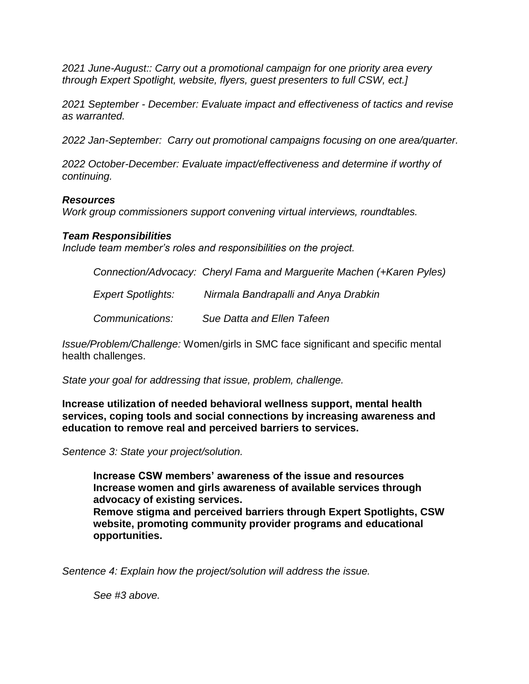*2021 June-August:: Carry out a promotional campaign for one priority area every through Expert Spotlight, website, flyers, guest presenters to full CSW, ect.]*

*2021 September - December: Evaluate impact and effectiveness of tactics and revise as warranted.* 

*2022 Jan-September: Carry out promotional campaigns focusing on one area/quarter.* 

*2022 October-December: Evaluate impact/effectiveness and determine if worthy of continuing.*

#### *Resources*

*Work group commissioners support convening virtual interviews, roundtables.*

#### *Team Responsibilities*

*Include team member's roles and responsibilities on the project.* 

*Connection/Advocacy: Cheryl Fama and Marguerite Machen (+Karen Pyles)*

 *Expert Spotlights: Nirmala Bandrapalli and Anya Drabkin*

 *Communications: Sue Datta and Ellen Tafeen* 

*Issue/Problem/Challenge:* Women/girls in SMC face significant and specific mental health challenges.

*State your goal for addressing that issue, problem, challenge.*

**Increase utilization of needed behavioral wellness support, mental health services, coping tools and social connections by increasing awareness and education to remove real and perceived barriers to services.**

*Sentence 3: State your project/solution.*

**Increase CSW members' awareness of the issue and resources Increase women and girls awareness of available services through advocacy of existing services. Remove stigma and perceived barriers through Expert Spotlights, CSW** 

**website, promoting community provider programs and educational opportunities.**

*Sentence 4: Explain how the project/solution will address the issue.*

*See #3 above.*